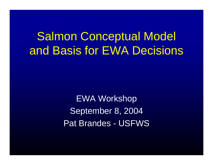Salmon Conceptual Model and Basis for EWA Decisions

> EWA Workshop September 8, 2004 Pat Brandes - USFWS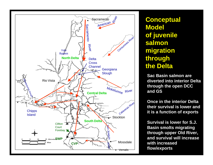

**Conceptual Model of juvenile salmon migration through the Delta**

**Sac Basin salmon are diverted into interior Delta through the open DCC and GS**

**Once in the interior Delta their survival is lower and it is a function of exports**

**Survival is lower for S.J. Basin smolts migrating through upper Old River, and survival will increasewith increased flow/exports**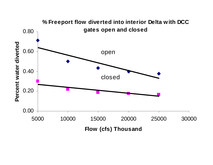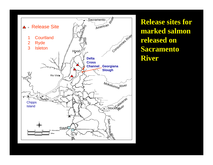

**Release sites for marked salmon released on Sacramento River**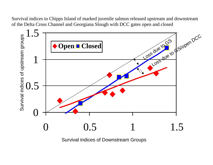Survival indices to Chipps Island of marked juvenile salmon released upstream and downstream of the Delta Cross Channel and Georgiana Slough with DCC gates open and closed



Survival indices of Downstream Groups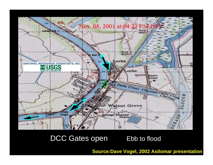

## DCC Gates open Ebb to flood

**Source:Dave Vogel, 2002 Asilomar presentation**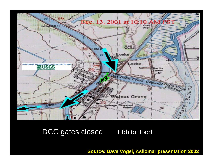

## DCC gates closed Ebb to flood

## **Source: Dave Vogel, Asilomar presentation 2002**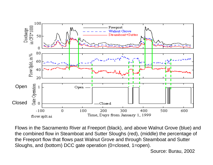

Flows in the Sacramento River at Freeport (black), and above Walnut Grove (blue) and the combined flow in Steamboat and Sutter Sloughs (red), (middle) the percentage of the Freeport flow that flows past Walnut Grove and through Steamboat and Sutter Sloughs, and (bottom) DCC gate operation (0=closed, 1=open).

Source: Burau, 2002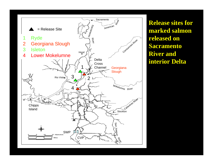

**Release sites for marked salmon released on Sacramento River and interior Delta**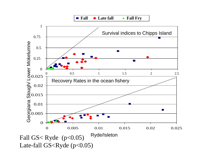**Fall** ◆ Late fall



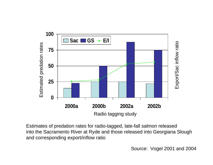

Estimates of predation rates for radio-tagged, late-fall salmon released into the Sacramento River at Ryde and those released into Georgiana Slough and corresponding export/inflow ratio

Source: Vogel 2001 and 2004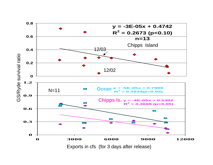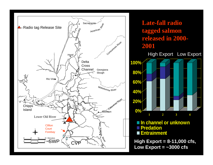

**Late-fall radio tagged salmon released in 2000- 20010% 20% 40% 60% 80% 100% 1 2 3 4 In channel or unknown Predation Entrainment** High Export Low Export **High Export = 8-11,000 cfs, Low Export = ~3000 cfs**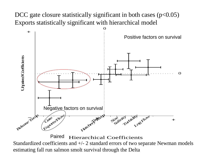DCC gate closure statistically significant in both cases  $(p<0.05)$ Exports statistically significant with hierarchical model



Hierarchical Coefficients Standardized coefficients and  $+\prime$ - 2 standard errors of two separate Newman models estimating fall run salmon smolt survival through the Delta Paired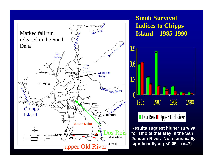

**Smolt Survival Indices to Chipps Island 1985-1990**



**Results suggest higher survival for smolts that stay in the San Joaquin River. Not statistically significantly at p<0.05. (n=7)**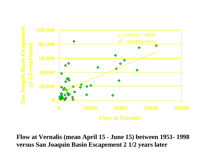

**Flow at Vernalis (mean April 15 - June 15) between 1951- 1998 versus San Joaquin Basin Escapement 2 1/2 years later**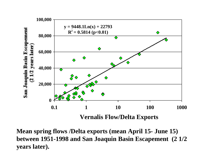

**Mean spring flows /Delta exports (mean April 15- June 15) between 1951-1998 and San Joaquin Basin Escapement (2 1/2 years later).**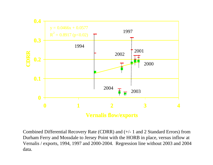

Combined Differential Recovery Rate (CDRR) and (+/- 1 and 2 Standard Errors) from Durham Ferry and Mossdale to Jersey Point with the HORB in place, versus inflow at Vernalis / exports, 1994, 1997 and 2000-2004. Regression line without 2003 and 2004 data.